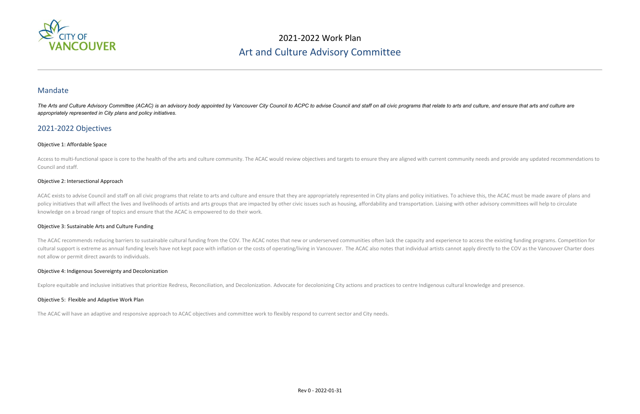

## 2021-2022 Work Plan Art and Culture Advisory Committee

### Mandate

The Arts and Culture Advisory Committee (ACAC) is an advisory body appointed by Vancouver City Council to ACPC to advise Council and staff on all civic programs that relate to arts and culture, and ensure that arts and cul *appropriately represented in City plans and policy initiatives.* 

Access to multi-functional space is core to the health of the arts and culture community. The ACAC would review objectives and targets to ensure they are aligned with current community needs and provide any updated recomme Council and staff.

### 2021-2022 Objectives

### Objective 1: Affordable Space

ACAC exists to advise Council and staff on all civic programs that relate to arts and culture and ensure that they are appropriately represented in City plans and policy initiatives. To achieve this, the ACAC must be made policy initiatives that will affect the lives and livelihoods of artists and arts groups that are impacted by other civic issues such as housing, affordability and transportation. Liaising with other advisory committees wi knowledge on a broad range of topics and ensure that the ACAC is empowered to do their work.

### Objective 2: Intersectional Approach

The ACAC recommends reducing barriers to sustainable cultural funding from the COV. The ACAC notes that new or underserved communities often lack the capacity and experience to access the existing funding programs. Competi cultural support is extreme as annual funding levels have not kept pace with inflation or the costs of operating/living in Vancouver. The ACAC also notes that individual artists cannot apply directly to the COV as the Vanc not allow or permit direct awards to individuals.

#### Objective 3: Sustainable Arts and Culture Funding

#### Objective 4: Indigenous Sovereignty and Decolonization

Explore equitable and inclusive initiatives that prioritize Redress, Reconciliation, and Decolonization. Advocate for decolonizing City actions and practices to centre Indigenous cultural knowledge and presence.

#### Objective 5: Flexible and Adaptive Work Plan

The ACAC will have an adaptive and responsive approach to ACAC objectives and committee work to flexibly respond to current sector and City needs.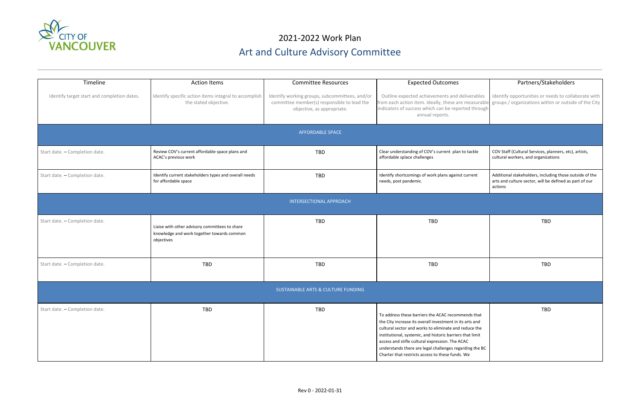

# 2021-2022 Work Plan Art and Culture Advisory Committee

| Timeline                                    | <b>Action Items</b>                                                                                        | <b>Committee Resources</b>                                                                                                  | <b>Expected Outcomes</b>                                                                                                                                                                                                                                                                                                                                                                               | Partners/Stal                                                                  |
|---------------------------------------------|------------------------------------------------------------------------------------------------------------|-----------------------------------------------------------------------------------------------------------------------------|--------------------------------------------------------------------------------------------------------------------------------------------------------------------------------------------------------------------------------------------------------------------------------------------------------------------------------------------------------------------------------------------------------|--------------------------------------------------------------------------------|
| Identify target start and completion dates. | Identify specific action items integral to accomplish<br>the stated objective.                             | Identify working groups, subcommittees, and/or<br>committee member(s) responsible to lead the<br>objective, as appropriate. | Outline expected achievements and deliverables<br>from each action item. Ideally, these are measurable<br>indicators of success which can be reported through<br>annual reports.                                                                                                                                                                                                                       | Identify opportunities or ne<br>groups / organizations with                    |
|                                             |                                                                                                            | <b>AFFORDABLE SPACE</b>                                                                                                     |                                                                                                                                                                                                                                                                                                                                                                                                        |                                                                                |
| Start date. - Completion date.              | Review COV's current affordable space plans and<br>ACAC's previous work                                    | <b>TBD</b>                                                                                                                  | Clear understanding of COV's current plan to tackle<br>affordable splace challenges                                                                                                                                                                                                                                                                                                                    | COV Staff (Cultural Services, pl<br>cultural workers, and organiza             |
| Start date. - Completion date.              | Identify current stakeholders types and overall needs<br>for affordable space                              | <b>TBD</b>                                                                                                                  | Identify shortcomings of work plans against current<br>needs, post pandemic.                                                                                                                                                                                                                                                                                                                           | Additional stakeholders, includ<br>arts and culture sector, will be<br>actions |
|                                             |                                                                                                            | <b>INTERSECTIONAL APPROACH</b>                                                                                              |                                                                                                                                                                                                                                                                                                                                                                                                        |                                                                                |
| Start date. - Completion date.              | Liaise with other advisory committees to share<br>knowledge and work together towards common<br>objectives | <b>TBD</b>                                                                                                                  | <b>TBD</b>                                                                                                                                                                                                                                                                                                                                                                                             | <b>TBD</b>                                                                     |
| Start date. - Completion date.              | <b>TBD</b>                                                                                                 | <b>TBD</b>                                                                                                                  | <b>TBD</b>                                                                                                                                                                                                                                                                                                                                                                                             | <b>TBD</b>                                                                     |
|                                             |                                                                                                            | SUSTAINABLE ARTS & CULTURE FUNDING                                                                                          |                                                                                                                                                                                                                                                                                                                                                                                                        |                                                                                |
| Start date. - Completion date.              | TBD                                                                                                        | TBD                                                                                                                         | To address these barriers the ACAC recommends that<br>the City increase its overall investment in its arts and<br>cultural sector and works to eliminate and reduce the<br>institutional, systemic, and historic barriers that limit<br>access and stifle cultural expression. The ACAC<br>understands there are legal challenges regarding the BC<br>Charter that restricts access to these funds. We | <b>TBD</b>                                                                     |

|                                                              | Partners/Stakeholders                                                                                                         |  |  |  |  |
|--------------------------------------------------------------|-------------------------------------------------------------------------------------------------------------------------------|--|--|--|--|
| verables<br>easurable<br>d through                           | Identify opportunities or needs to collaborate with<br>groups / organizations within or outside of the City                   |  |  |  |  |
|                                                              |                                                                                                                               |  |  |  |  |
| tackle                                                       | COV Staff (Cultural Services, planners, etc), artists,<br>cultural workers, and organizations                                 |  |  |  |  |
| ırrent                                                       | Additional stakeholders, including those outside of the<br>arts and culture sector, will be defined as part of our<br>actions |  |  |  |  |
|                                                              |                                                                                                                               |  |  |  |  |
|                                                              | <b>TBD</b>                                                                                                                    |  |  |  |  |
|                                                              | <b>TBD</b>                                                                                                                    |  |  |  |  |
|                                                              |                                                                                                                               |  |  |  |  |
| ıds that<br>rts and<br>uce the<br>at limit<br>ng the BC<br>e | TBD                                                                                                                           |  |  |  |  |